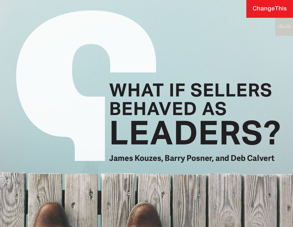**ChangeThis** 

# WHAT IF SELLERS **BEHAVED AS LEADERS?**

**James Kouzes, Barry Posner, and Deb Calvert**

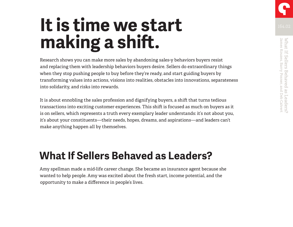## **It is time we start making a shift.**

Research shows you can make more sales by abandoning sales-y behaviors buyers resist and replacing them with leadership behaviors buyers desire. Sellers do extraordinary things when they stop pushing people to buy before they're ready, and start guiding buyers by transforming values into actions, visions into realities, obstacles into innovations, separateness into solidarity, and risks into rewards.

It is about ennobling the sales profession and dignifying buyers, a shift that turns tedious transactions into exciting customer experiences. This shift is focused as much on buyers as it is on sellers, which represents a truth every exemplary leader understands: it's not about you, it's about your constituents—their needs, hopes, dreams, and aspirations—and leaders can't make anything happen all by themselves.

### **What If Sellers Behaved as Leaders?**

Amy spellman made a mid-life career change. She became an insurance agent because she wanted to help people. Amy was excited about the fresh start, income potential, and the opportunity to make a difference in people's lives.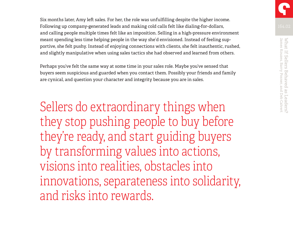Six months later, Amy left sales. For her, the role was unfulfilling despite the higher income. Following up company-generated leads and making cold calls felt like dialing-for-dollars, and calling people multiple times felt like an imposition. Selling in a high-pressure environment meant spending less time helping people in the way she'd envisioned. Instead of feeling supportive, she felt pushy. Instead of enjoying connections with clients, she felt inauthentic, rushed, and slightly manipulative when using sales tactics she had observed and learned from others.

Perhaps you've felt the same way at some time in your sales role. Maybe you've sensed that buyers seem suspicious and guarded when you contact them. Possibly your friends and family are cynical, and question your character and integrity because you are in sales.

Sellers do extraordinary things when they stop pushing people to buy before they're ready, and start guiding buyers by transforming values into actions, visions into realities, obstacles into innovations, separateness into solidarity, and risks into rewards.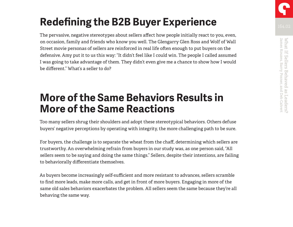The pervasive, negative stereotypes about sellers affect how people initially react to you, even, on occasion, family and friends who know you well. The Glengarry Glen Ross and Wolf of Wall Street movie personas of sellers are reinforced in real life often enough to put buyers on the defensive. Amy put it to us this way: "It didn't feel like I could win. The people I called assumed I was going to take advantage of them. They didn't even give me a chance to show how I would be different." What's a seller to do?

### **More of the Same Behaviors Results in More of the Same Reactions**

Too many sellers shrug their shoulders and adopt these stereotypical behaviors. Others defuse buyers' negative perceptions by operating with integrity, the more challenging path to be sure.

For buyers, the challenge is to separate the wheat from the chaff, determining which sellers are trustworthy. An overwhelming refrain from buyers in our study was, as one person said, "All sellers seem to be saying and doing the same things." Sellers, despite their intentions, are failing to behaviorally differentiate themselves.

As buyers become increasingly self-sufficient and more resistant to advances, sellers scramble to find more leads, make more calls, and get in front of more buyers. Engaging in more of the same old sales behaviors exacerbates the problem. All sellers seem the same because they're all behaving the same way.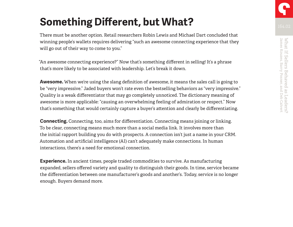James Kouzes, Barry Posner, and Deb Calvert What If Sellers Behaved as Leaders?

What If Sellers Behaved as Leaders?<br>James Kouzes, Barry Posner, and Deb Calvert

## **Something Different, but What?**

There must be another option. Retail researchers Robin Lewis and Michael Dart concluded that winning people's wallets requires delivering "such an awesome connecting experience that they will go out of their way to come to you."

"An awesome connecting experience?" Now that's something different in selling! It's a phrase that's more likely to be associated with leadership. Let's break it down.

**Awesome.** When we're using the slang definition of awesome, it means the sales call is going to be "very impressive." Jaded buyers won't rate even the bestselling behaviors as "very impressive." Quality is a weak differentiator that may go completely unnoticed. The dictionary meaning of awesome is more applicable: "causing an overwhelming feeling of admiration or respect." Now that's something that would certainly capture a buyer's attention and clearly be differentiating.

**Connecting.** Connecting, too, aims for differentiation. Connecting means joining or linking. To be clear, connecting means much more than a social media link. It involves more than the initial rapport building you do with prospects. A connection isn't just a name in your CRM. Automation and artificial intelligence (AI) can't adequately make connections. In human interactions, there's a need for emotional connection.

**Experience.** In ancient times, people traded commodities to survive. As manufacturing expanded, sellers offered variety and quality to distinguish their goods. In time, service became the differentiation between one manufacturer's goods and another's. Today, service is no longer enough. Buyers demand more.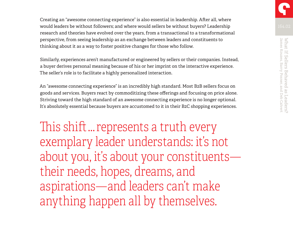Creating an "awesome connecting experience" is also essential in leadership. After all, where would leaders be without followers; and where would sellers be without buyers? Leadership research and theories have evolved over the years, from a transactional to a transformational perspective, from seeing leadership as an exchange between leaders and constituents to thinking about it as a way to foster positive changes for those who follow.

Similarly, experiences aren't manufactured or engineered by sellers or their companies. Instead, a buyer derives personal meaning because of his or her imprint on the interactive experience. The seller's role is to facilitate a highly personalized interaction.

An "awesome connecting experience" is an incredibly high standard. Most B2B sellers focus on goods and services. Buyers react by commoditizing these offerings and focusing on price alone. Striving toward the high standard of an awesome connecting experience is no longer optional. It's absolutely essential because buyers are accustomed to it in their B2C shopping experiences.

This shift … represents a truth every exemplary leader understands: it's not about you, it's about your constituents their needs, hopes, dreams, and aspirations—and leaders can't make anything happen all by themselves.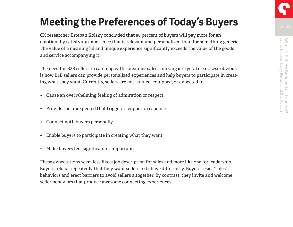### **Meeting the Preferences of Today's Buyers**

CX researcher Esteban Kolsky concluded that 86 percent of buyers will pay more for an emotionally satisfying experience that is relevant and personalized than for something generic. The value of a meaningful and unique experience significantly exceeds the value of the goods and service accompanying it.

The need for B2B sellers to catch up with consumer sales thinking is crystal clear. Less obvious is how B2B sellers can provide personalized experiences and help buyers to participate in creating what they want. Currently, sellers are not trained, equipped, or expected to:

- Cause an overwhelming feeling of admiration or respect.
- Provide the unexpected that triggers a euphoric response.
- Connect with buyers personally.
- Enable buyers to participate in creating what they want.
- Make buyers feel significant or important.

These expectations seem less like a job description for sales and more like one for leadership. Buyers told us repeatedly that they want sellers to behave differently. Buyers resist "sales" behaviors and erect barriers to avoid sellers altogether. By contrast, they invite and welcome seller behaviors that produce awesome connecting experiences.

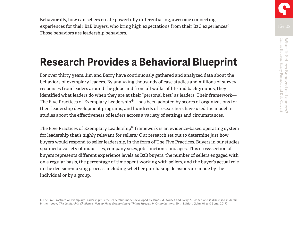Behaviorally, how can sellers create powerfully differentiating, awesome connecting experiences for their B2B buyers, who bring high expectations from their B2C experiences? Those behaviors are leadership behaviors.

### **Research Provides a Behavioral Blueprint**

For over thirty years, Jim and Barry have continuously gathered and analyzed data about the behaviors of exemplary leaders. By analyzing thousands of case studies and millions of survey responses from leaders around the globe and from all walks of life and backgrounds, they identified what leaders do when they are at their "personal best" as leaders. Their framework— The Five Practices of Exemplary Leadership®—has been adopted by scores of organizations for their leadership development programs, and hundreds of researchers have used the model in studies about the effectiveness of leaders across a variety of settings and circumstances.

The Five Practices of Exemplary Leadership® framework is an evidence-based operating system for leadership that's highly relevant for sellers.<sup>1</sup> Our research set out to determine just how buyers would respond to seller leadership, in the form of The Five Practices. Buyers in our studies spanned a variety of industries, company sizes, job functions, and ages. This cross-section of buyers represents different experience levels as B2B buyers, the number of sellers engaged with on a regular basis, the percentage of time spent working with sellers, and the buyer's actual role in the decision-making process, including whether purchasing decisions are made by the individual or by a group.

1. The Five Practices or Exemplary Leadership® is the leadership model developed by James M. Kouzes and Barry Z. Posner, and is discussed in detail in their book, The Leadership Challenge: How to Make Extraordinary Things Happen in Organizations, Sixth Edition. (John Wiley & Sons, 2017)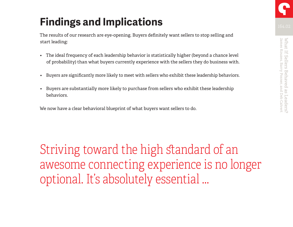## **Findings and Implications**

The results of our research are eye-opening. Buyers definitely want sellers to stop selling and start leading:

- The ideal frequency of each leadership behavior is statistically higher (beyond a chance level of probability) than what buyers currently experience with the sellers they do business with.
- Buyers are significantly more likely to meet with sellers who exhibit these leadership behaviors.
- Buyers are substantially more likely to purchase from sellers who exhibit these leadership behaviors.

We now have a clear behavioral blueprint of what buyers want sellers to do.

Striving toward the high standard of an awesome connecting experience is no longer optional. It's absolutely essential …

What If Sellers Behaved as Leaders?<br>James Kouzes, Barry Posner, and Deb Calvert James Kouzes, Barry Posner, and Deb Calvert What If Sellers Behaved as Leaders?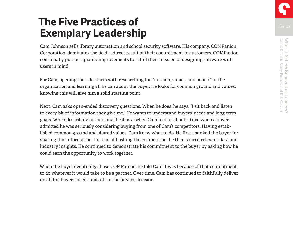### **The Five Practices of Exemplary Leadership**

Cam Johnson sells library automation and school security software. His company, COMPanion Corporation, dominates the field, a direct result of their commitment to customers. COMPanion continually pursues quality improvements to fulfill their mission of designing software with users in mind.

For Cam, opening the sale starts with researching the "mission, values, and beliefs" of the organization and learning all he can about the buyer. He looks for common ground and values, knowing this will give him a solid starting point.

Next, Cam asks open-ended discovery questions. When he does, he says, "I sit back and listen to every bit of information they give me." He wants to understand buyers' needs and long-term goals. When describing his personal best as a seller, Cam told us about a time when a buyer admitted he was seriously considering buying from one of Cam's competitors. Having established common ground and shared values, Cam knew what to do. He first thanked the buyer for sharing this information. Instead of bashing the competition, he then shared relevant data and industry insights. He continued to demonstrate his commitment to the buyer by asking how he could earn the opportunity to work together.

When the buyer eventually chose COMPanion, he told Cam it was because of that commitment to do whatever it would take to be a partner. Over time, Cam has continued to faithfully deliver on all the buyer's needs and affirm the buyer's decision.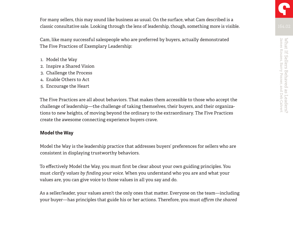For many sellers, this may sound like business as usual. On the surface, what Cam described is a classic consultative sale. Looking through the lens of leadership, though, something more is visible.

Cam, like many successful salespeople who are preferred by buyers, actually demonstrated The Five Practices of Exemplary Leadership:

- 1. Model the Way
- 2. Inspire a Shared Vision
- 3. Challenge the Process
- 4. Enable Others to Act
- 5. Encourage the Heart

The Five Practices are all about behaviors. That makes them accessible to those who accept the challenge of leadership—the challenge of taking themselves, their buyers, and their organizations to new heights, of moving beyond the ordinary to the extraordinary. The Five Practices create the awesome connecting experience buyers crave.

#### **Model the Way**

Model the Way is the leadership practice that addresses buyers' preferences for sellers who are consistent in displaying trustworthy behaviors.

To effectively Model the Way, you must first be clear about your own guiding principles. You must *clarify values by finding your voice*. When you understand who you are and what your values are, you can give voice to those values in all you say and do.

As a seller/leader, your values aren't the only ones that matter. Everyone on the team—including your buyer—has principles that guide his or her actions. Therefore, you must *affirm the shared*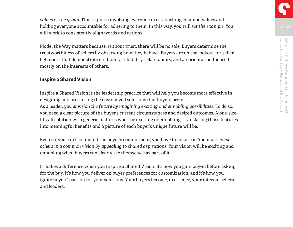*values of the group*. This requires involving everyone in establishing common values and holding everyone accountable for adhering to them. In this way, you will *set the example*. You will work to consistently align words and actions.

Model the Way matters because, without trust, there will be no sale. Buyers determine the trustworthiness of sellers by observing how they behave. Buyers are on the lookout for seller behaviors that demonstrate credibility, reliability, relate-ability, and an orientation focused mostly on the interests of others.

#### **Inspire a Shared Vision**

Inspire a Shared Vision is the leadership practice that will help you become more effective in designing and presenting the customized solutions that buyers prefer. As a leader, you *envision the future by imagining exciting and ennobling possibilities*. To do so, you need a clear picture of the buyer's current circumstances and desired outcomes. A one-sizefits-all solution with generic features won't be exciting or ennobling. Translating those features into meaningful benefits and a picture of each buyer's unique future will be.

Even so, you can't command the buyer's commitment; you have to inspire it. You must *enlist others in a common vision by appealing to shared aspirations*. Your vision will be exciting and ennobling when buyers can clearly see themselves as part of it.

It makes a difference when you Inspire a Shared Vision. It's how you gain buy-in before asking for the buy. It's how you deliver on buyer preferences for customization, and it's how you ignite buyers' passion for your solutions. Your buyers become, in essence, your internal sellers and leaders.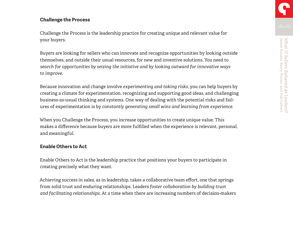#### **Challenge the Process**

Challenge the Process is the leadership practice for creating unique and relevant value for your buyers.

Buyers are looking for sellers who can innovate and recognize opportunities by looking outside themselves, and outside their usual resources, for new and inventive solutions. You need to *search for opportunities by seizing the initiative and by looking outward for innovative ways to improve*.

Because innovation and change involve *experimenting and taking risks*, you can help buyers by creating a climate for experimentation, recognizing and supporting good ideas, and challenging business-as-usual thinking and systems. One way of dealing with the potential risks and failures of experimentation is by *constantly generating small wins and learning from experience*.

When you Challenge the Process, you increase opportunities to create unique value. This makes a difference because buyers are more fulfilled when the experience is relevant, personal, and meaningful.

#### **Enable Others to Act**

Enable Others to Act is the leadership practice that positions your buyers to participate in creating precisely what they want.

Achieving success in sales, as in leadership, takes a collaborative team effort, one that springs from solid trust and enduring relationships. Leaders *foster collaboration by building trust and facilitating relationships*. At a time when there are increasing numbers of decision-makers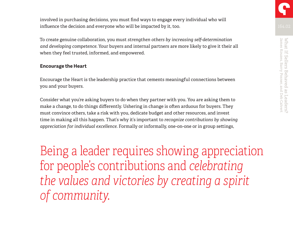involved in purchasing decisions, you must find ways to engage every individual who will influence the decision and everyone who will be impacted by it, too.

To create genuine collaboration, you must *strengthen others by increasing self-determination and developing competence*. Your buyers and internal partners are more likely to give it their all when they feel trusted, informed, and empowered.

#### **Encourage the Heart**

Encourage the Heart is the leadership practice that cements meaningful connections between you and your buyers.

Consider what you're asking buyers to do when they partner with you. You are asking them to make a change, to do things differently. Ushering in change is often arduous for buyers. They must convince others, take a risk with you, dedicate budget and other resources, and invest time in making all this happen. That's why it's important to *recognize contributions by showing appreciation for individual excellence*. Formally or informally, one-on-one or in group settings,

Being a leader requires showing appreciation for people's contributions and *celebrating the values and victories by creating a spirit of community*.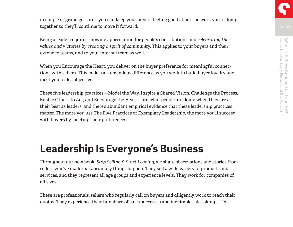in simple or grand gestures, you can keep your buyers feeling good about the work you're doing together so they'll continue to move it forward.

Being a leader requires showing appreciation for people's contributions and *celebrating the values and victories by creating a spirit of community*. This applies to your buyers and their extended teams, and to your internal team as well.

When you Encourage the Heart, you deliver on the buyer preference for meaningful connections with sellers. This makes a tremendous difference as you work to build buyer loyalty and meet your sales objectives.

These five leadership practices—Model the Way, Inspire a Shared Vision, Challenge the Process, Enable Others to Act, and Encourage the Heart—are what people are doing when they are at their best as leaders, and there's abundant empirical evidence that these leadership practices matter. The more you use The Five Practices of Exemplary Leadership, the more you'll succeed with buyers by meeting their preferences.

### **Leadership Is Everyone's Business**

Throughout our new book, *Stop Selling & Start Leading*, we share observations and stories from sellers who've made extraordinary things happen. They sell a wide variety of products and services, and they represent all age groups and experience levels. They work for companies of all sizes.

These are professionals, sellers who regularly call on buyers and diligently work to reach their quotas. They experience their fair share of sales successes and inevitable sales slumps. The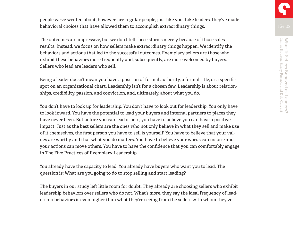people we've written about, however, are regular people, just like you. Like leaders, they've made behavioral choices that have allowed them to accomplish extraordinary things.

The outcomes are impressive, but we don't tell these stories merely because of those sales results. Instead, we focus on how sellers make extraordinary things happen. We identify the behaviors and actions that led to the successful outcomes. Exemplary sellers are those who exhibit these behaviors more frequently and, subsequently, are more welcomed by buyers. Sellers who lead are leaders who sell.

Being a leader doesn't mean you have a position of formal authority, a formal title, or a specific spot on an organizational chart. Leadership isn't for a chosen few. Leadership is about relationships, credibility, passion, and conviction, and, ultimately, about what you do.

You don't have to look up for leadership. You don't have to look out for leadership. You only have to look inward. You have the potential to lead your buyers and internal partners to places they have never been. But before you can lead others, you have to believe you can have a positive impact. Just as the best sellers are the ones who not only believe in what they sell and make use of it themselves, the first person you have to sell is yourself. You have to believe that your values are worthy and that what you do matters. You have to believe your words can inspire and your actions can move others. You have to have the confidence that you can comfortably engage in The Five Practices of Exemplary Leadership.

You already have the capacity to lead. You already have buyers who want you to lead. The question is: What are you going to do to stop selling and start leading?

The buyers in our study left little room for doubt. They already are choosing sellers who exhibit leadership behaviors over sellers who do not. What's more, they say the ideal frequency of leadership behaviors is even higher than what they're seeing from the sellers with whom they've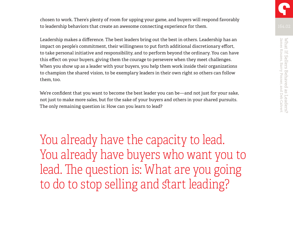chosen to work. There's plenty of room for upping your game, and buyers will respond favorably to leadership behaviors that create an awesome connecting experience for them.

Leadership makes a difference. The best leaders bring out the best in others. Leadership has an impact on people's commitment, their willingness to put forth additional discretionary effort, to take personal initiative and responsibility, and to perform beyond the ordinary. You can have this effect on your buyers, giving them the courage to persevere when they meet challenges. When you show up as a leader with your buyers, you help them work inside their organizations to champion the shared vision, to be exemplary leaders in their own right so others can follow them, too.

We're confident that you want to become the best leader you can be—and not just for your sake, not just to make more sales, but for the sake of your buyers and others in your shared pursuits. The only remaining question is: How can you learn to lead?

You already have the capacity to lead. You already have buyers who want you to lead. The question is: What are you going to do to stop selling and start leading?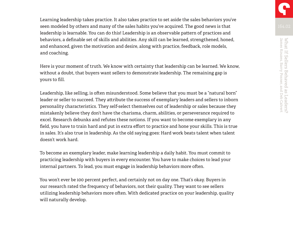Learning leadership takes practice. It also takes practice to set aside the sales behaviors you've seen modeled by others and many of the sales habits you've acquired. The good news is that leadership is learnable. You can do this! Leadership is an observable pattern of practices and behaviors, a definable set of skills and abilities. Any skill can be learned, strengthened, honed, and enhanced, given the motivation and desire, along with practice, feedback, role models, and coaching.

Here is your moment of truth. We know with certainty that leadership can be learned. We know, without a doubt, that buyers want sellers to demonstrate leadership. The remaining gap is yours to fill.

Leadership, like selling, is often misunderstood. Some believe that you must be a "natural born" leader or seller to succeed. They attribute the success of exemplary leaders and sellers to inborn personality characteristics. They self-select themselves out of leadership or sales because they mistakenly believe they don't have the charisma, charm, abilities, or perseverance required to excel. Research debunks and refutes these notions. If you want to become exemplary in any field, you have to train hard and put in extra effort to practice and hone your skills. This is true in sales. It's also true in leadership. As the old saying goes: Hard work beats talent when talent doesn't work hard.

To become an exemplary leader, make learning leadership a daily habit. You must commit to practicing leadership with buyers in every encounter. You have to make choices to lead your internal partners. To lead, you must engage in leadership behaviors more often.

You won't ever be 100 percent perfect, and certainly not on day one. That's okay. Buyers in our research rated the frequency of behaviors, not their quality. They want to see sellers utilizing leadership behaviors more often. With dedicated practice on your leadership, quality will naturally develop.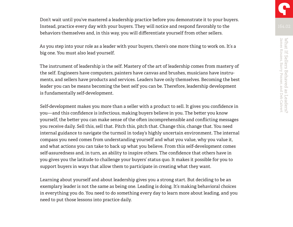Don't wait until you've mastered a leadership practice before you demonstrate it to your buyers. Instead, practice every day with your buyers. They will notice and respond favorably to the behaviors themselves and, in this way, you will differentiate yourself from other sellers.

As you step into your role as a leader with your buyers, there's one more thing to work on. It's a big one. You must also lead yourself.

The instrument of leadership is the self. Mastery of the art of leadership comes from mastery of the self. Engineers have computers, painters have canvas and brushes, musicians have instruments, and sellers have products and services. Leaders have only themselves. Becoming the best leader you can be means becoming the best self you can be. Therefore, leadership development is fundamentally self-development.

Self-development makes you more than a seller with a product to sell. It gives you confidence in you—and this confidence is infectious, making buyers believe in you. The better you know yourself, the better you can make sense of the often incomprehensible and conflicting messages you receive daily. Sell this, sell that. Pitch this, pitch that. Change this, change that. You need internal guidance to navigate the turmoil in today's highly uncertain environment. The internal compass you need comes from understanding yourself and what you value, why you value it, and what actions you can take to back up what you believe. From this self-development comes self-assuredness and, in turn, an ability to inspire others. The confidence that others have in you gives you the latitude to challenge your buyers' status quo. It makes it possible for you to support buyers in ways that allow them to participate in creating what they want.

Learning about yourself and about leadership gives you a strong start. But deciding to be an exemplary leader is not the same as being one. Leading is doing. It's making behavioral choices in everything you do. You need to do something every day to learn more about leading, and you need to put those lessons into practice daily.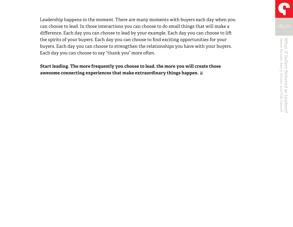Leadership happens in the moment. There are many moments with buyers each day when you can choose to lead. In those interactions you can choose to do small things that will make a difference. Each day you can choose to lead by your example. Each day you can choose to lift the spirits of your buyers. Each day you can choose to find exciting opportunities for your buyers. Each day you can choose to strengthen the relationships you have with your buyers. Each day you can choose to say "thank you" more often.

#### **Start leading. The more frequently you choose to lead, the more you will create those awesome connecting experiences that make extraordinary things happen.**